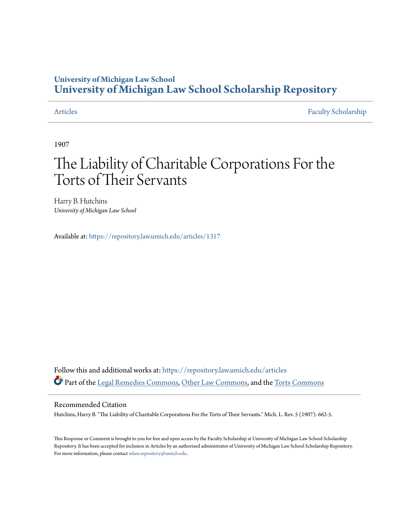### **University of Michigan Law School [University of Michigan Law School Scholarship Repository](https://repository.law.umich.edu?utm_source=repository.law.umich.edu%2Farticles%2F1317&utm_medium=PDF&utm_campaign=PDFCoverPages)**

[Articles](https://repository.law.umich.edu/articles?utm_source=repository.law.umich.edu%2Farticles%2F1317&utm_medium=PDF&utm_campaign=PDFCoverPages) [Faculty Scholarship](https://repository.law.umich.edu/faculty_scholarship?utm_source=repository.law.umich.edu%2Farticles%2F1317&utm_medium=PDF&utm_campaign=PDFCoverPages)

1907

# The Liability of Charitable Corporations For the Torts of Their Servants

Harry B. Hutchins *University of Michigan Law School*

Available at: <https://repository.law.umich.edu/articles/1317>

Follow this and additional works at: [https://repository.law.umich.edu/articles](https://repository.law.umich.edu/articles?utm_source=repository.law.umich.edu%2Farticles%2F1317&utm_medium=PDF&utm_campaign=PDFCoverPages) Part of the [Legal Remedies Commons](http://network.bepress.com/hgg/discipline/618?utm_source=repository.law.umich.edu%2Farticles%2F1317&utm_medium=PDF&utm_campaign=PDFCoverPages), [Other Law Commons](http://network.bepress.com/hgg/discipline/621?utm_source=repository.law.umich.edu%2Farticles%2F1317&utm_medium=PDF&utm_campaign=PDFCoverPages), and the [Torts Commons](http://network.bepress.com/hgg/discipline/913?utm_source=repository.law.umich.edu%2Farticles%2F1317&utm_medium=PDF&utm_campaign=PDFCoverPages)

#### Recommended Citation

Hutchins, Harry B. "The Liability of Charitable Corporations For the Torts of Their Servants." Mich. L. Rev. 5 (1907): 662-5.

This Response or Comment is brought to you for free and open access by the Faculty Scholarship at University of Michigan Law School Scholarship Repository. It has been accepted for inclusion in Articles by an authorized administrator of University of Michigan Law School Scholarship Repository. For more information, please contact [mlaw.repository@umich.edu](mailto:mlaw.repository@umich.edu).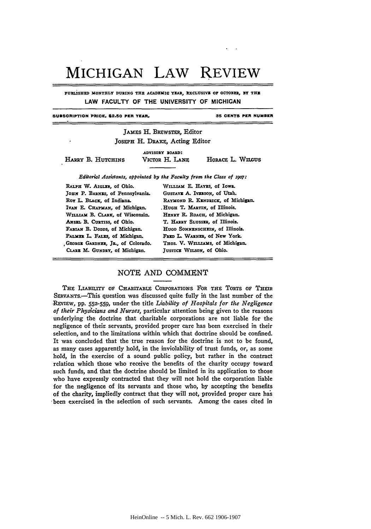## MICHIGAN **LAW** REVIEW

PURLISHED MONTHLY DURING THE ACADEMIC YEAR, EXCLUSIVE OF OCTOBER, BY THE **LAW FACULTY OF THE UNIVERSITY OF MICHIGAN**

**SUBSCRIPTION PRICE. \$2.50 PER YEAR.**

**35 CENTS PER NUMBER**

JAMES H. BREWSTER, Editor JOSEPH H. DRAKE, Acting Editor

HARRY B. HUTCHINS

**ADVISORY BOARD:**

VICTOR H. LANE HORACE L. WILGUS

*Editorial Assistants, appointed by the Faculty* **from** *the Class of 59o7:*

RALPH W. AIGLER, of Ohio. JOHN P. BARNES, of Pennsylvania. Roy **L. BLACE, of Indiana. IVAN E. CHAPMAN, of Michigan.** WILLIAM B. CLARK, of Wisconsin. ANSEL B. CURTISS, of Ohio. *FABIAN* B. **DODDS, of Michigan.** PALMER L. FALES, of Michigan. **,G.ORGE GARDNER, JR., of Colorado.** *CI.RR* M. **GUNDRY,** of Michigan.

WILLIAM E. HAYES, of Iowa. GusTAVE A. IVERSON, of Utah. **RAYMOND** *R.* **KENDSICX, of Michigan. .HUGH** T. **MARTIN,** of Illinois. **HzNRY** R. **ROACH, of Michigan.** T. **HARRY SLUSSxR, of Illinois. HUGO SONxENSCHIN, of Illinois.** FRED **L.** *WARNR,* of New York. THOS. V. WILLIAMS, of Michigan. JusTICE WILSON, of Ohio.

#### NOTE AND COMMENT

THE LIABILITY OV CHARITABLE CORPORATIoNs FOR *THE* TORTS Or **THEIR** SERVANTS.-This question was discussed quite fully in the last number of the REVIEW, pp. 552-559, under the title *Liability of Hospitals for the Negligence of their Physicians and Nurses,* particular attention being given to the reasons underlying the doctrine that charitable corporations are not liable for the negligence of their servants, provided proper care has been exercised in their selection, and to the limitations within which that doctrine should be confined. It was concluded that the true reason for the doctrine is not to be found, as many cases apparently hold, in the inviolability of trust funds, or, as some hold, in the exercise of a sound public policy, but rather in the contract relation which those who receive the benefits of the charity occupy toward such funds, and that the doctrine should be limited in its application to those who have expressly contracted that they will not hold the corporation liable for the negligence of its servants and those who, **by** accepting the benefits of the charity, impliedly contract that they will not, provided proper care **has** -been exercised in the selection of such servants. Among the cases cited in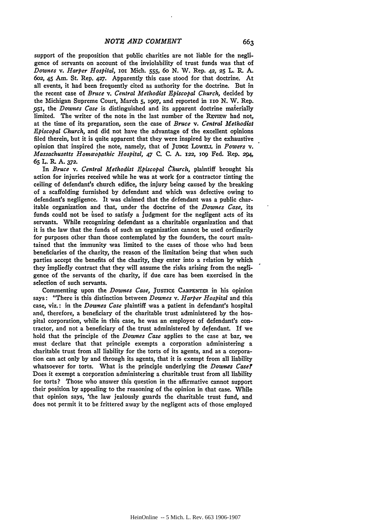support of the proposition that public charities are not liable for the negligence of servants on account of the inviolability of trust funds was that of *Downes v. Harper Hospital, ioi* Mich. **555,** 6o **N.** W. Rep. **42, 25** L. R. **A. 6o2,** 45 Am. St. Rep. 427. Apparently this case stood for that doctrine. At all events, it had been frequently cited as authority for the doctrine. But in the recent case of *Bruce v. Central Methodist Episcopal Church,* decided by the Michigan Supreme Court, March **5, i9o7,** and reported in **iio N.** W. Rep. ,95i, the *Downes Case* is distinguished and its apparent doctrine materially limited. The writer of the note in the last number of the REVIEW had not, at the time of its preparation, seen the case of *Bruce v. Central Methodist Episcopal Church,* and did not have the advantage of the excellent opinions filed therein, but it is quite apparent that they were inspired **by** the exhaustive opinion that inspired the note, namely, that of JUDGE LOWELL in Powers v. *Massachusetts Homaopathic Hospital,* 47 C. C. A. **122,** *io9* Fed. Rep. **294,** *65* L. R. **A. 372.**

In *Bruce v. Central Methodist Episcopal Church*, plaintiff brought his action for injuries received while he was at work for a contractor tinting the ceiling of defendant's church edifice, the injury being caused **by** the breaking of a scaffolding furnished **by** defendant and which was defective owing to defendant's negligence. It was claimed that the defendant was a public charitable organization and that, under the doctrine of the *Downes Case,* its funds could not be used to satisfy a judgment for the negligent acts of its servants. While recognizing defendant as a charitable organization and that it is the law that the funds of such an organization cannot be used ordinarily for purposes other than those contemplated **by** the founders, the court maintained that the immunity was limited to the cases of those who had been beneficiaries of the charity, the reason of the limitation being that when such parties accept the benefits of the charity, they enter into a relation **by** which they impliedly contract that they will assume the risks arising from the negligence of the servants of the charity, if due care has been exercised in the selection of such servants.

Commenting upon the *Downes Case*, JUSTICE CARPENTER in his opinion says: "There is this distinction between *Downes v. Harper Hospital* and this case, viz.: in the *Downes Case* plaintiff was a patient in defendant's hospital and, therefore, a beneficiary of the charitable trust administered **by** the hospital corporation, while in this case, he was an employee of defendant's contractor, and not a beneficiary of the trust administered **by** defendant. If we hold that the principle of the *Downes Case* applies to the case at bar, we must declare that that principle exempts a corporation administering a charitable trust from all liability for the torts of its agents, and as a corporation can act only **by** and through its agents, that it is exempt from all liability whatsoever for torts. What is the principle underlying the *Downes Case?* Does it exempt a corporation administering a charitable trust from all liability for torts? Those who answer this question in the affirmative cannot support their position **by** appealing to the reasoning of the opinion in that case. While that opinion says, 'the law jealously guards the charitable trust fund, and does not permit it to be frittered away **by** the negligent acts of those employed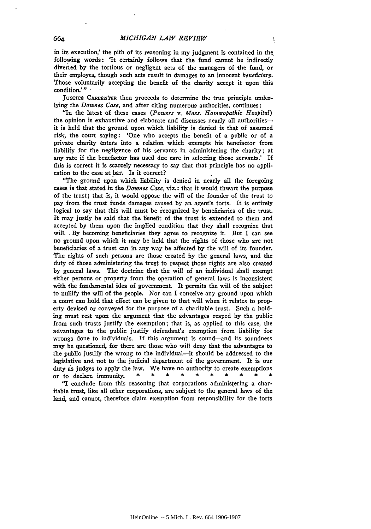in its execution,' the pith of its reasoning in my judgment is contained in the following words: 'It certainly follows that the fund cannot be indirectly diverted **by** the tortious or negligent acts of the managers of the fund, or their employes, though such acts result in damages to an innocent *beneficiary.* Those voluntarily accepting the benefit of the charity accept it upon this condition."

JUSTICE CARPENTER then proceeds to determine the true principle underlying the *Downes Case,* and after citing numerous authorities, continues:

"In the latest **of** these cases *(Powers v. Mass. Hoinuopathic Hospital)* the opinion is exhaustive and elaborate and discusses nearly all authoritiesit is held that the ground upon which liability is denied is that of assumed risk, the court saying: 'One who accepts the benefit of a public or of a private charity enters into a relation which exempts his benefactor from liability for the negligence of his servants in administering the charity; at any rate if the benefactor has used due care in selecting those servants.' If this is correct it is scarcely necessary to say that that principle has no application to the case at bar. Is it correct?

"The ground upon which liability is denied in nearly all the foregoing cases is that stated in the *Downes Case,* viz.: that it would thwart the purpose of the trust; that is, it would oppose the will of the founder of the trust to pay from the trust funds damages caused **by** an agent's torts. It is entirely logical to say that this will must be recognized **by** beneficiaries of the trust. It may justly be said that the benefit of the trust is extended to them and accepted **by** them upon the implied condition that they shall recognize that will.. By becoming beneficiaries they agree to recognize it. But I can see no ground upon which it may be held that the rights of those who are not beneficiaries of a trust can in any way be affected **by** the will of its founder. The rights of such persons are those created **by** the general laws, and the duty of those administering the trust to respect those rights are also created **by** general laws. The doctrine that the will of an individual shall exempt either persons or property from the operation of general laws is inconsistent with the fundamental idea of government. It permits the will of the subject to nullify the will of the people. Nor can I conceive any ground upon which a court can hold that effect can be given to that will when it relates to property devised or conveyed for the purpose of a charitable trust. Such a holding must rest upon the argument that the advantages reaped **by** the public from such trusts justify the exemption; that is, as applied to this case, the advantages to the public justify defendant's exemption from liability for wrongs done to individuals. If this argument is sound-and its soundness may be questioned, for there are those who will deny that the advantages to the public justify the wrong to the individual-it should be addressed to the legislative and not to the judicial department of the government. It is our duty as judges to apply the law. We have no authority to create exemptions or to declare immunity. **\* \* \* \* \* \* \* \* \* \***

"I conclude from this reasoning that corporations administering a charitable trust, like all other corporations, are subject to the general laws **of** the land, and cannot, therefore claim exemption from responsibility for the torts